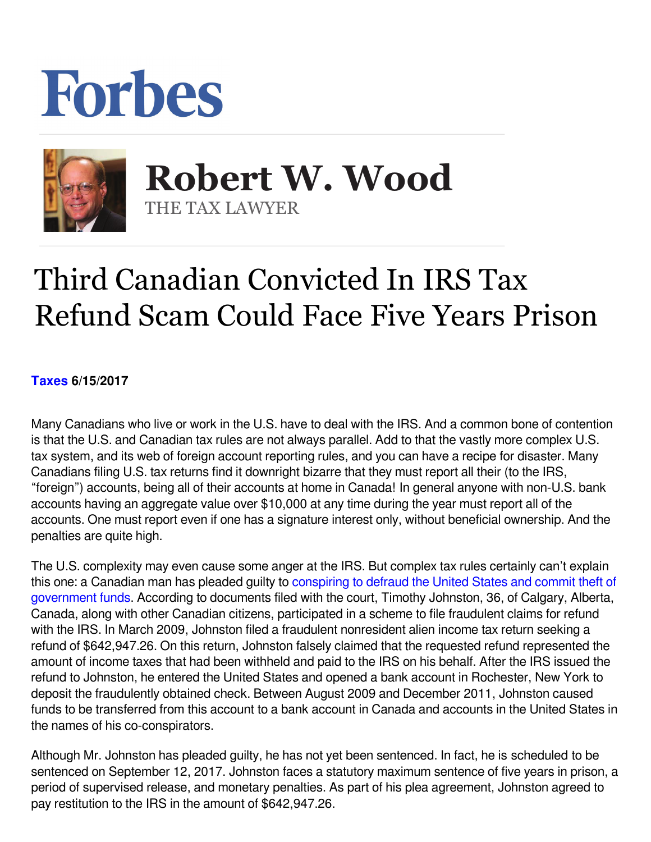## Forbes



 **Robert W. Wood** THE TAX LAWYER

## Third Canadian Convicted In IRS Tax Refund Scam Could Face Five Years Prison

## **[Taxes](https://www.forbes.com/taxes) 6/15/2017**

Many Canadians who live or work in the U.S. have to deal with the IRS. And a common bone of contention is that the U.S. and Canadian tax rules are not always parallel. Add to that the vastly more complex U.S. tax system, and its web of foreign account reporting rules, and you can have a recipe for disaster. Many Canadians filing U.S. tax returns find it downright bizarre that they must report all their (to the IRS, "foreign") accounts, being all of their accounts at home in Canada! In general anyone with non-U.S. bank accounts having an aggregate value over \$10,000 at any time during the year must report all of the accounts. One must report even if one has a signature interest only, without beneficial ownership. And the penalties are quite high.

The U.S. complexity may even cause some anger at the IRS. But complex tax rules certainly can't explain this one: a Canadian man has pleaded guilty to [conspiring to defraud the United States and commit theft of](https://www.justice.gov/opa/pr/canadian-man-pleads-guilty-conspiring-defraud-united-states-and-steal-government-funds) [government funds.](https://www.justice.gov/opa/pr/canadian-man-pleads-guilty-conspiring-defraud-united-states-and-steal-government-funds) According to documents filed with the court, Timothy Johnston, 36, of Calgary, Alberta, Canada, along with other Canadian citizens, participated in a scheme to file fraudulent claims for refund with the IRS. In March 2009, Johnston filed a fraudulent nonresident alien income tax return seeking a refund of \$642,947.26. On this return, Johnston falsely claimed that the requested refund represented the amount of income taxes that had been withheld and paid to the IRS on his behalf. After the IRS issued the refund to Johnston, he entered the United States and opened a bank account in Rochester, New York to deposit the fraudulently obtained check. Between August 2009 and December 2011, Johnston caused funds to be transferred from this account to a bank account in Canada and accounts in the United States in the names of his co-conspirators.

Although Mr. Johnston has pleaded guilty, he has not yet been sentenced. In fact, he is scheduled to be sentenced on September 12, 2017. Johnston faces a statutory maximum sentence of five years in prison, a period of supervised release, and monetary penalties. As part of his plea agreement, Johnston agreed to pay restitution to the IRS in the amount of \$642,947.26.